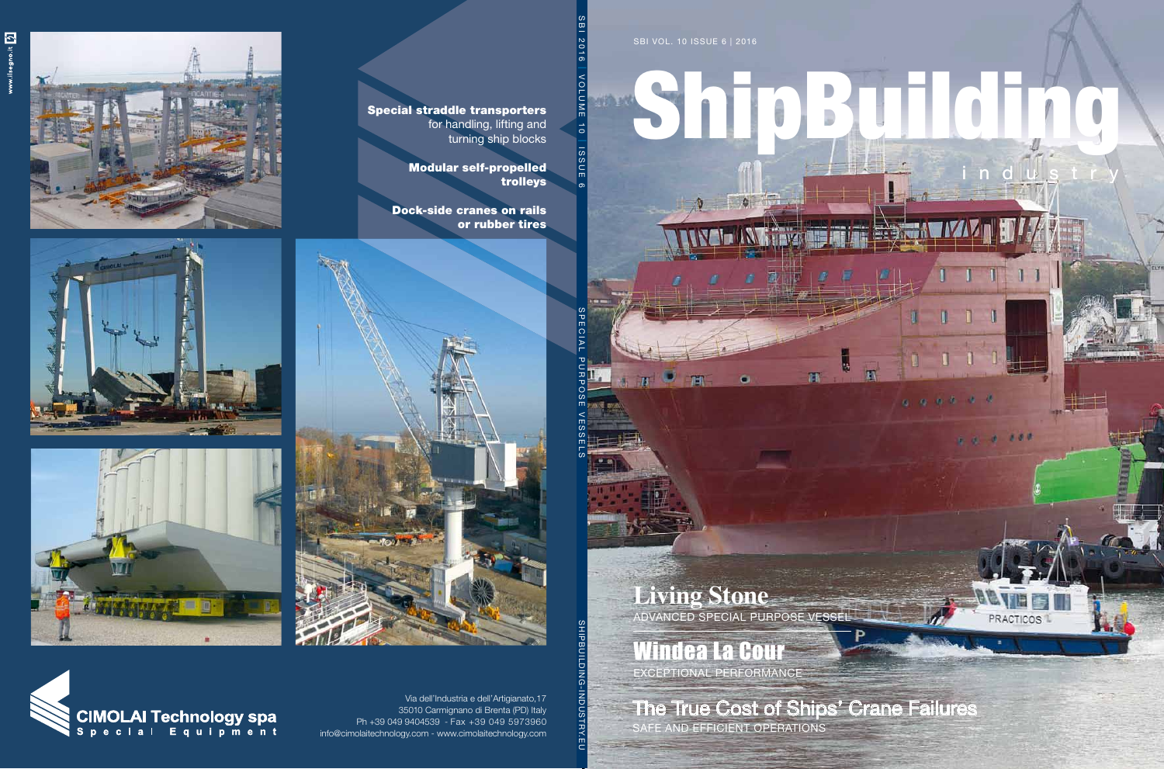SBI VOL. 10 ISSUE 6 | 2016

 $\overline{H}$ 

FIET

# ShipBuilding

indus

D.

Ò

 $0.99999900$ 

ü

ī

 $\mathbf{r}$ 

T.

 $1<sub>1</sub>$ 

 $\mathbf{b}$ 

 $\overline{\mathbf{r}_0}$ 

 $0.0.100$ 

PRACTICOS<sup>1</sup>

**Living Stone** advanced special purpose vessel

## Windea La Cour

exceptional performance

The True Cost of Ships' Crane Failures

safe and efficient operations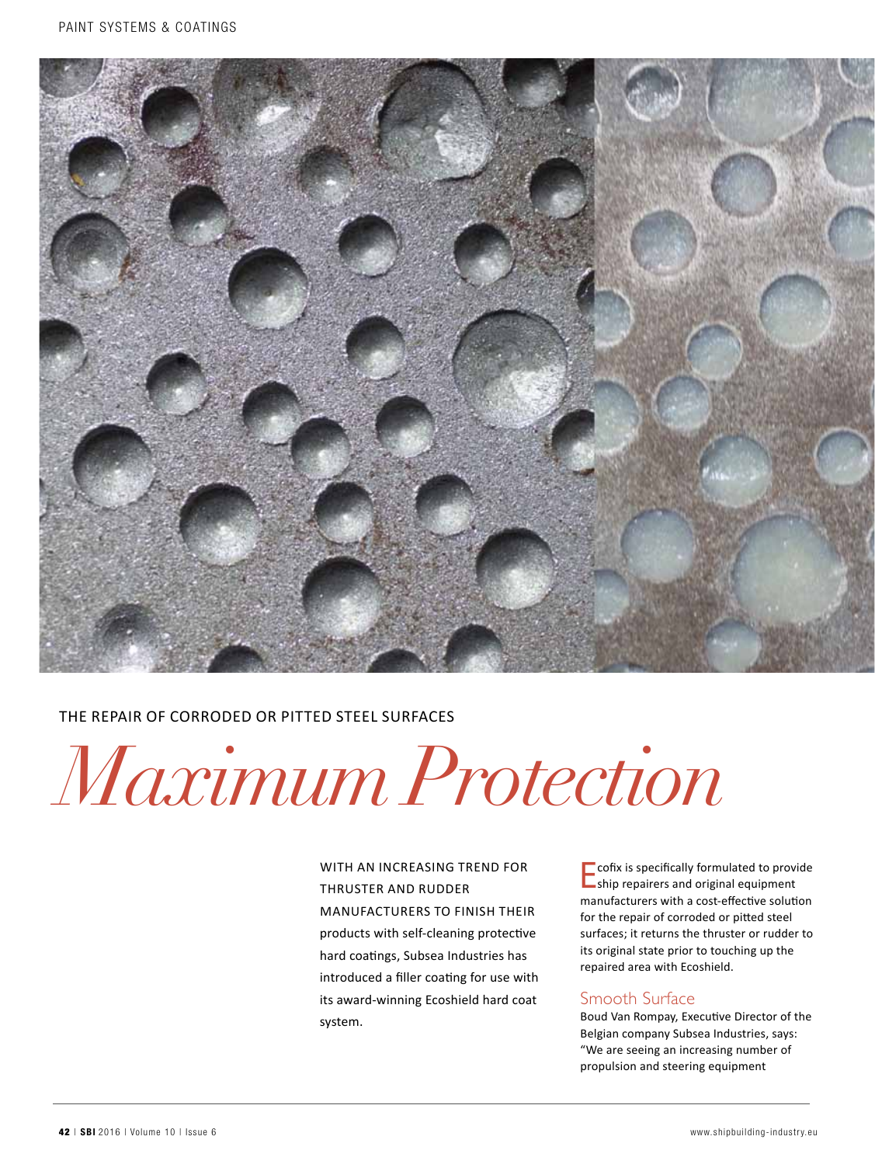

### The Repair of Corroded or Pitted Steel Surfaces

*Maximum Protection*

WITH AN INCREASING TREND FOR thruster and rudder manufacturers to finish their products with self-cleaning protective hard coatings, Subsea Industries has introduced a filler coating for use with its award-winning Ecoshield hard coat system.

 $\Box$  cofix is specifically formulated to provide ship repairers and original equipment manufacturers with a cost-effective solution for the repair of corroded or pitted steel surfaces; it returns the thruster or rudder to its original state prior to touching up the repaired area with Ecoshield.

#### Smooth Surface

Boud Van Rompay, Executive Director of the Belgian company Subsea Industries, says: "We are seeing an increasing number of propulsion and steering equipment